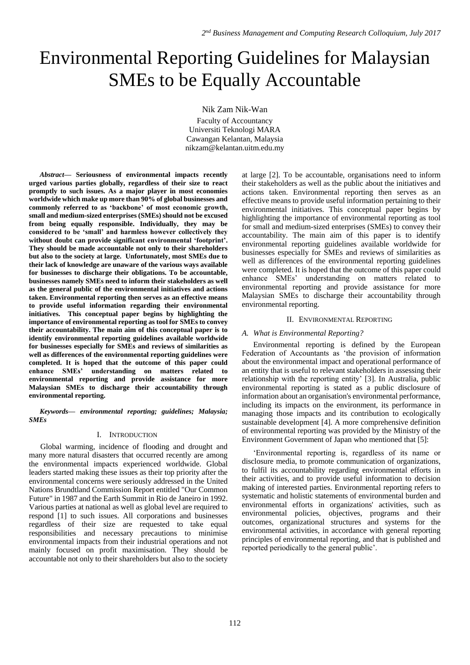# Environmental Reporting Guidelines for Malaysian SMEs to be Equally Accountable

Nik Zam Nik-Wan

Faculty of Accountancy Universiti Teknologi MARA Cawangan Kelantan, Malaysia nikzam@kelantan.uitm.edu.my

*Abstract***— Seriousness of environmental impacts recently urged various parties globally, regardless of their size to react promptly to such issues. As a major player in most economies worldwide which make up more than 90% of global businesses and commonly referred to as 'backbone' of most economic growth, small and medium-sized enterprises (SMEs) should not be excused from being equally responsible. Individually, they may be considered to be 'small' and harmless however collectively they without doubt can provide significant environmental 'footprint'. They should be made accountable not only to their shareholders but also to the society at large. Unfortunately, most SMEs due to their lack of knowledge are unaware of the various ways available for businesses to discharge their obligations. To be accountable, businesses namely SMEs need to inform their stakeholders as well as the general public of the environmental initiatives and actions taken. Environmental reporting then serves as an effective means to provide useful information regarding their environmental initiatives. This conceptual paper begins by highlighting the importance of environmental reporting as tool for SMEs to convey their accountability. The main aim of this conceptual paper is to identify environmental reporting guidelines available worldwide for businesses especially for SMEs and reviews of similarities as well as differences of the environmental reporting guidelines were completed. It is hoped that the outcome of this paper could enhance SMEs' understanding on matters related to environmental reporting and provide assistance for more Malaysian SMEs to discharge their accountability through environmental reporting.** 

*Keywords— environmental reporting; guidelines; Malaysia; SMEs*

## I. INTRODUCTION

Global warming, incidence of flooding and drought and many more natural disasters that occurred recently are among the environmental impacts experienced worldwide. Global leaders started making these issues as their top priority after the environmental concerns were seriously addressed in the United Nations Brundtland Commission Report entitled "Our Common Future" in 1987 and the Earth Summit in Rio de Janeiro in 1992. Various parties at national as well as global level are required to respond [1] to such issues. All corporations and businesses regardless of their size are requested to take equal responsibilities and necessary precautions to minimise environmental impacts from their industrial operations and not mainly focused on profit maximisation. They should be accountable not only to their shareholders but also to the society

at large [2]. To be accountable, organisations need to inform their stakeholders as well as the public about the initiatives and actions taken. Environmental reporting then serves as an effective means to provide useful information pertaining to their environmental initiatives. This conceptual paper begins by highlighting the importance of environmental reporting as tool for small and medium-sized enterprises (SMEs) to convey their accountability. The main aim of this paper is to identify environmental reporting guidelines available worldwide for businesses especially for SMEs and reviews of similarities as well as differences of the environmental reporting guidelines were completed. It is hoped that the outcome of this paper could enhance SMEs' understanding on matters related to environmental reporting and provide assistance for more Malaysian SMEs to discharge their accountability through environmental reporting.

## II. ENVIRONMENTAL REPORTING

## *A. What is Environmental Reporting?*

Environmental reporting is defined by the European Federation of Accountants as 'the provision of information about the environmental impact and operational performance of an entity that is useful to relevant stakeholders in assessing their relationship with the reporting entity' [3]. In Australia, public environmental reporting is stated as a public disclosure of information about an organisation's environmental performance, including its impacts on the environment, its performance in managing those impacts and its contribution to ecologically sustainable development [4]. A more comprehensive definition of environmental reporting was provided by the Ministry of the Environment Government of Japan who mentioned that [5]:

'Environmental reporting is, regardless of its name or disclosure media, to promote communication of organizations, to fulfil its accountability regarding environmental efforts in their activities, and to provide useful information to decision making of interested parties. Environmental reporting refers to systematic and holistic statements of environmental burden and environmental efforts in organizations' activities, such as environmental policies, objectives, programs and their outcomes, organizational structures and systems for the environmental activities, in accordance with general reporting principles of environmental reporting, and that is published and reported periodically to the general public'.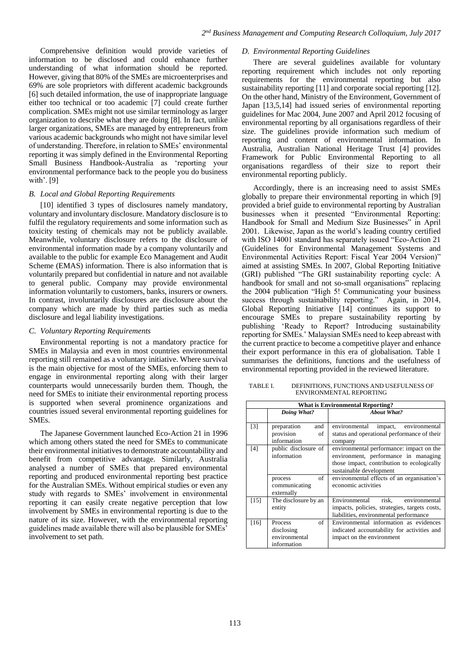Comprehensive definition would provide varieties of information to be disclosed and could enhance further understanding of what information should be reported. However, giving that 80% of the SMEs are microenterprises and 69% are sole proprietors with different academic backgrounds [6] such detailed information, the use of inappropriate language either too technical or too academic [7] could create further complication. SMEs might not use similar terminology as larger organization to describe what they are doing [8]. In fact, unlike larger organizations, SMEs are managed by entrepreneurs from various academic backgrounds who might not have similar level of understanding. Therefore, in relation to SMEs' environmental reporting it was simply defined in the Environmental Reporting Small Business Handbook-Australia as 'reporting your environmental performance back to the people you do business with'. [9]

## *B. Local and Global Reporting Requirements*

[10] identified 3 types of disclosures namely mandatory, voluntary and involuntary disclosure. Mandatory disclosure is to fulfil the regulatory requirements and some information such as toxicity testing of chemicals may not be publicly available. Meanwhile, voluntary disclosure refers to the disclosure of environmental information made by a company voluntarily and available to the public for example Eco Management and Audit Scheme (EMAS) information. There is also information that is voluntarily prepared but confidential in nature and not available to general public. Company may provide environmental information voluntarily to customers, banks, insurers or owners. In contrast, involuntarily disclosures are disclosure about the company which are made by third parties such as media disclosure and legal liability investigations.

## *C. Voluntary Reporting Requirements*

Environmental reporting is not a mandatory practice for SMEs in Malaysia and even in most countries environmental reporting still remained as a voluntary initiative. Where survival is the main objective for most of the SMEs, enforcing them to engage in environmental reporting along with their larger counterparts would unnecessarily burden them. Though, the need for SMEs to initiate their environmental reporting process is supported when several prominence organizations and countries issued several environmental reporting guidelines for SMEs.

The Japanese Government launched Eco-Action 21 in 1996 which among others stated the need for SMEs to communicate their environmental initiatives to demonstrate accountability and benefit from competitive advantage. Similarly, Australia analysed a number of SMEs that prepared environmental reporting and produced environmental reporting best practice for the Australian SMEs. Without empirical studies or even any study with regards to SMEs' involvement in environmental reporting it can easily create negative perception that low involvement by SMEs in environmental reporting is due to the nature of its size. However, with the environmental reporting guidelines made available there will also be plausible for SMEs' involvement to set path.

#### *D. Environmental Reporting Guidelines*

There are several guidelines available for voluntary reporting requirement which includes not only reporting requirements for the environmental reporting but also sustainability reporting [11] and corporate social reporting [12]. On the other hand, Ministry of the Environment, Government of Japan [13,5,14] had issued series of environmental reporting guidelines for Mac 2004, June 2007 and April 2012 focusing of environmental reporting by all organisations regardless of their size. The guidelines provide information such medium of reporting and content of environmental information. In Australia, Australian National Heritage Trust [4] provides Framework for Public Environmental Reporting to all organisations regardless of their size to report their environmental reporting publicly.

Accordingly, there is an increasing need to assist SMEs globally to prepare their environmental reporting in which [9] provided a brief guide to environmental reporting by Australian businesses when it presented "Environmental Reporting: Handbook for Small and Medium Size Businesses" in April 2001. Likewise, Japan as the world's leading country certified with ISO 14001 standard has separately issued "Eco-Action 21 (Guidelines for Environmental Management Systems and Environmental Activities Report: Fiscal Year 2004 Version)" aimed at assisting SMEs. In 2007, Global Reporting Initiative (GRI) published "The GRI sustainability reporting cycle: A handbook for small and not so-small organisations" replacing the 2004 publication "High 5! Communicating your business success through sustainability reporting." Again, in 2014, Global Reporting Initiative [14] continues its support to encourage SMEs to prepare sustainability reporting by publishing 'Ready to Report? Introducing sustainability reporting for SMEs.' Malaysian SMEs need to keep abreast with the current practice to become a competitive player and enhance their export performance in this era of globalisation. Table 1 summarises the definitions, functions and the usefulness of environmental reporting provided in the reviewed literature.

TABLE I. DEFINITIONS, FUNCTIONS AND USEFULNESS OF ENVIRONMENTAL REPORTING

| <b>What is Environmental Reporting?</b> |                                                                    |                                                                                                                                                           |  |
|-----------------------------------------|--------------------------------------------------------------------|-----------------------------------------------------------------------------------------------------------------------------------------------------------|--|
|                                         | Doing What?                                                        | <b>About What?</b>                                                                                                                                        |  |
| $\lceil 3 \rceil$                       | preparation<br>and<br>provision<br>of<br>information               | environmental<br>impact, environmental<br>status and operational performance of their<br>company                                                          |  |
| [4]                                     | public disclosure of<br>information                                | environmental performance: impact on the<br>environment, performance in managing<br>those impact, contribution to ecologically<br>sustainable development |  |
|                                         | of<br>process<br>communicating<br>externally                       | environmental effects of an organisation's<br>economic activities                                                                                         |  |
| $[15]$                                  | The disclosure by an<br>entity                                     | environmental<br>risk,<br>Environmental<br>impacts, policies, strategies, targets costs,<br>liabilities, environmental performance                        |  |
| [16]                                    | of<br><b>Process</b><br>disclosing<br>environmental<br>information | Environmental information as evidences<br>indicated accountability for activities and<br>impact on the environment                                        |  |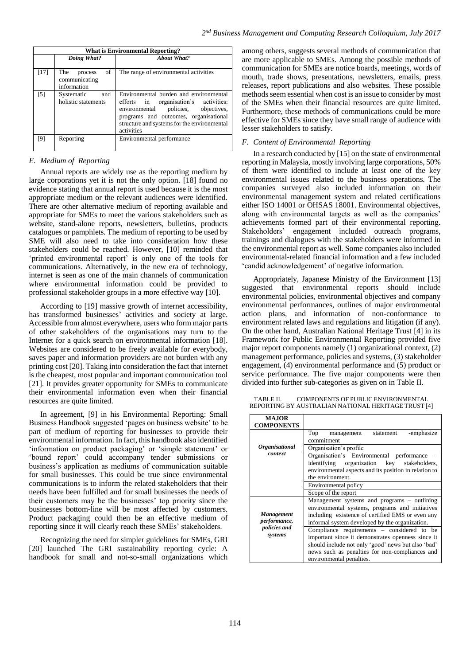| <b>What is Environmental Reporting?</b> |                                                      |                                                                                                                                                                                                                                 |  |  |
|-----------------------------------------|------------------------------------------------------|---------------------------------------------------------------------------------------------------------------------------------------------------------------------------------------------------------------------------------|--|--|
|                                         | Doing What?                                          | <b>About What?</b>                                                                                                                                                                                                              |  |  |
| $[17]$                                  | of<br>The<br>process<br>communicating<br>information | The range of environmental activities                                                                                                                                                                                           |  |  |
| $\lceil 5 \rceil$                       | Systematic<br>and<br>holistic statements             | Environmental burden and environmental<br>efforts in organisation's activities:<br>policies, objectives,<br>environmental<br>programs and outcomes, organisational<br>structure and systems for the environmental<br>activities |  |  |
| [9]                                     | Reporting                                            | Environmental performance                                                                                                                                                                                                       |  |  |

# *E. Medium of Reporting*

Annual reports are widely use as the reporting medium by large corporations yet it is not the only option. [18] found no evidence stating that annual report is used because it is the most appropriate medium or the relevant audiences were identified. There are other alternative medium of reporting available and appropriate for SMEs to meet the various stakeholders such as website, stand-alone reports, newsletters, bulletins, products catalogues or pamphlets. The medium of reporting to be used by SME will also need to take into consideration how these stakeholders could be reached. However, [10] reminded that 'printed environmental report' is only one of the tools for communications. Alternatively, in the new era of technology, internet is seen as one of the main channels of communication where environmental information could be provided to professional stakeholder groups in a more effective way [10].

According to [19] massive growth of internet accessibility, has transformed businesses' activities and society at large. Accessible from almost everywhere, users who form major parts of other stakeholders of the organisations may turn to the Internet for a quick search on environmental information [18]. Websites are considered to be freely available for everybody, saves paper and information providers are not burden with any printing cost [20]. Taking into consideration the fact that internet is the cheapest, most popular and important communication tool [21]. It provides greater opportunity for SMEs to communicate their environmental information even when their financial resources are quite limited.

In agreement, [9] in his Environmental Reporting: Small Business Handbook suggested 'pages on business website' to be part of medium of reporting for businesses to provide their environmental information. In fact, this handbook also identified 'information on product packaging' or 'simple statement' or 'bound report' could accompany tender submissions or business's application as mediums of communication suitable for small businesses. This could be true since environmental communications is to inform the related stakeholders that their needs have been fulfilled and for small businesses the needs of their customers may be the businesses' top priority since the businesses bottom-line will be most affected by customers. Product packaging could then be an effective medium of reporting since it will clearly reach these SMEs' stakeholders.

Recognizing the need for simpler guidelines for SMEs, GRI [20] launched The GRI sustainability reporting cycle: A handbook for small and not-so-small organizations which

among others, suggests several methods of communication that are more applicable to SMEs. Among the possible methods of communication for SMEs are notice boards, meetings, words of mouth, trade shows, presentations, newsletters, emails, press releases, report publications and also websites. These possible methods seem essential when cost is an issue to consider by most of the SMEs when their financial resources are quite limited. Furthermore, these methods of communications could be more effective for SMEs since they have small range of audience with lesser stakeholders to satisfy.

# *F. Content of Environmental Reporting*

In a research conducted by [15] on the state of environmental reporting in Malaysia, mostly involving large corporations, 50% of them were identified to include at least one of the key environmental issues related to the business operations. The companies surveyed also included information on their environmental management system and related certifications either ISO 14001 or OHSAS 18001. Environmental objectives, along with environmental targets as well as the companies' achievements formed part of their environmental reporting. Stakeholders' engagement included outreach programs, trainings and dialogues with the stakeholders were informed in the environmental report as well. Some companies also included environmental-related financial information and a few included 'candid acknowledgement' of negative information.

Appropriately, Japanese Ministry of the Environment [13] suggested that environmental reports should include environmental policies, environmental objectives and company environmental performances, outlines of major environmental action plans, and information of non-conformance to environment related laws and regulations and litigation (if any). On the other hand, Australian National Heritage Trust [4] in its Framework for Public Environmental Reporting provided five major report components namely (1) organizational context, (2) management performance, policies and systems, (3) stakeholder engagement, (4) environmental performance and (5) product or service performance. The five major components were then divided into further sub-categories as given on in Table II.

TABLE II. COMPONENTS OF PUBLIC ENVIRONMENTAL REPORTING BY AUSTRALIAN NATIONAL HERITAGE TRUST [4]

| <b>MAJOR</b><br><b>COMPONENTS</b> |                                                                                                                                                                                                                                     |
|-----------------------------------|-------------------------------------------------------------------------------------------------------------------------------------------------------------------------------------------------------------------------------------|
|                                   | -emphasize<br>Top<br>management<br>statement<br>commitment                                                                                                                                                                          |
| <i><b>Organisational</b></i>      | Organisation's profile                                                                                                                                                                                                              |
| context                           | Organisation's Environmental performance<br>organization key<br>identifying<br>stakeholders,<br>environmental aspects and its position in relation to<br>the environment.                                                           |
|                                   | Environmental policy                                                                                                                                                                                                                |
|                                   | Scope of the report                                                                                                                                                                                                                 |
| <b>Management</b><br>performance, | Management systems and programs – outlining<br>environmental systems, programs and initiatives<br>including existence of certified EMS or even any<br>informal system developed by the organization.                                |
| policies and<br>systems           | Compliance requirements - considered to be<br>important since it demonstrates openness since it<br>should include not only 'good' news but also 'bad'<br>news such as penalties for non-compliances and<br>environmental penalties. |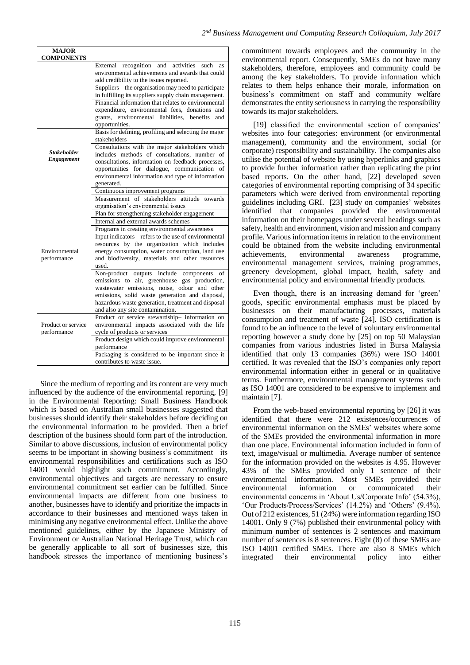| <b>MAJOR</b>       |                                                                                                             |
|--------------------|-------------------------------------------------------------------------------------------------------------|
| <b>COMPONENTS</b>  |                                                                                                             |
|                    | External recognition<br>and<br>activities<br>such<br>as<br>environmental achievements and awards that could |
|                    |                                                                                                             |
|                    | add credibility to the issues reported.                                                                     |
|                    | Suppliers – the organisation may need to participate                                                        |
|                    | in fulfilling its suppliers supply chain management.                                                        |
|                    | Financial information that relates to environmental                                                         |
|                    | expenditure, environmental fees, donations<br>and                                                           |
|                    | grants, environmental liabilities, benefits<br>and                                                          |
|                    | opportunities.                                                                                              |
|                    | Basis for defining, profiling and selecting the major                                                       |
|                    | stakeholders                                                                                                |
| <b>Stakeholder</b> | Consultations with the major stakeholders which                                                             |
| Engagement         | includes methods of consultations, number of                                                                |
|                    | consultations, information on feedback processes,                                                           |
|                    | opportunities for dialogue, communication<br>- of                                                           |
|                    | environmental information and type of information                                                           |
|                    | generated.                                                                                                  |
|                    | Continuous improvement programs<br>attitude towards                                                         |
|                    | Measurement of stakeholders                                                                                 |
|                    | organisation's environmental issues                                                                         |
|                    | Plan for strengthening stakeholder engagement                                                               |
|                    | Internal and external awards schemes                                                                        |
|                    | Programs in creating environmental awareness                                                                |
|                    | Input indicators – refers to the use of environmental                                                       |
|                    | resources by the organization which includes                                                                |
| Environmental      | energy consumption, water consumption, land use                                                             |
| performance        | and biodiversity, materials and other resources                                                             |
|                    | used.                                                                                                       |
|                    | Non-product outputs include components<br>of                                                                |
|                    | emissions to air, greenhouse gas production,                                                                |
|                    | wastewater emissions, noise, odour and other                                                                |
|                    | emissions, solid waste generation and disposal,                                                             |
|                    | hazardous waste generation, treatment and disposal                                                          |
|                    | and also any site contamination.                                                                            |
|                    | Product or service stewardship- information on                                                              |
| Product or service | environmental impacts associated with the life                                                              |
| performance        | cycle of products or services                                                                               |
|                    | Product design which could improve environmental                                                            |
|                    | performance                                                                                                 |
|                    | Packaging is considered to be important since it                                                            |
|                    | contributes to waste issue.                                                                                 |

Since the medium of reporting and its content are very much influenced by the audience of the environmental reporting, [9] in the Environmental Reporting: Small Business Handbook which is based on Australian small businesses suggested that businesses should identify their stakeholders before deciding on the environmental information to be provided. Then a brief description of the business should form part of the introduction. Similar to above discussions, inclusion of environmental policy seems to be important in showing business's commitment its environmental responsibilities and certifications such as ISO 14001 would highlight such commitment. Accordingly, environmental objectives and targets are necessary to ensure environmental commitment set earlier can be fulfilled. Since environmental impacts are different from one business to another, businesses have to identify and prioritize the impacts in accordance to their businesses and mentioned ways taken in minimising any negative environmental effect. Unlike the above mentioned guidelines, either by the Japanese Ministry of Environment or Australian National Heritage Trust, which can be generally applicable to all sort of businesses size, this handbook stresses the importance of mentioning business's

commitment towards employees and the community in the environmental report. Consequently, SMEs do not have many stakeholders, therefore, employees and community could be among the key stakeholders. To provide information which relates to them helps enhance their morale, information on business's commitment on staff and community welfare demonstrates the entity seriousness in carrying the responsibility towards its major stakeholders.

[19] classified the environmental section of companies' websites into four categories: environment (or environmental management), community and the environment, social (or corporate) responsibility and sustainability. The companies also utilise the potential of website by using hyperlinks and graphics to provide further information rather than replicating the print based reports. On the other hand, [22] developed seven categories of environmental reporting comprising of 34 specific parameters which were derived from environmental reporting guidelines including GRI. [23] study on companies' websites identified that companies provided the environmental information on their homepages under several headings such as safety, health and environment, vision and mission and company profile. Various information items in relation to the environment could be obtained from the website including environmental achievements, environmental awareness programme, environmental management services, training programmes, greenery development, global impact, health, safety and environmental policy and environmental friendly products.

Even though, there is an increasing demand for 'green' goods, specific environmental emphasis must be placed by businesses on their manufacturing processes, materials consumption and treatment of waste [24]. ISO certification is found to be an influence to the level of voluntary environmental reporting however a study done by [25] on top 50 Malaysian companies from various industries listed in Bursa Malaysia identified that only 13 companies (36%) were ISO 14001 certified. It was revealed that the ISO's companies only report environmental information either in general or in qualitative terms. Furthermore, environmental management systems such as ISO 14001 are considered to be expensive to implement and maintain [7].

From the web-based environmental reporting by [26] it was identified that there were 212 existences/occurrences of environmental information on the SMEs' websites where some of the SMEs provided the environmental information in more than one place. Environmental information included in form of text, image/visual or multimedia. Average number of sentence for the information provided on the websites is 4.95. However 43% of the SMEs provided only 1 sentence of their environmental information. Most SMEs provided their environmental information or communicated their environmental concerns in 'About Us/Corporate Info' (54.3%), 'Our Products/Process/Services' (14.2%) and 'Others' (9.4%). Out of 212 existences, 51 (24%) were information regarding ISO 14001. Only 9 (7%) published their environmental policy with minimum number of sentences is 2 sentences and maximum number of sentences is 8 sentences. Eight (8) of these SMEs are ISO 14001 certified SMEs. There are also 8 SMEs which integrated their environmental policy into either